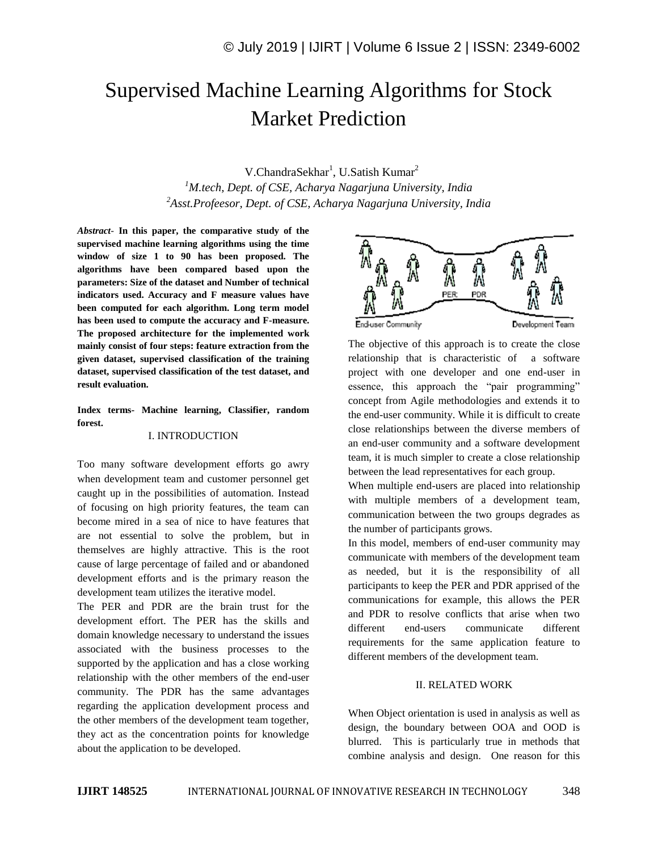# Supervised Machine Learning Algorithms for Stock Market Prediction

V.ChandraSekhar<sup>1</sup>, U.Satish Kumar<sup>2</sup> *<sup>1</sup>M.tech, Dept. of CSE, Acharya Nagarjuna University, India <sup>2</sup>Asst.Profeesor, Dept. of CSE, Acharya Nagarjuna University, India*

*Abstract*- **In this paper, the comparative study of the supervised machine learning algorithms using the time window of size 1 to 90 has been proposed. The algorithms have been compared based upon the parameters: Size of the dataset and Number of technical indicators used. Accuracy and F measure values have been computed for each algorithm. Long term model has been used to compute the accuracy and F-measure. The proposed architecture for the implemented work mainly consist of four steps: feature extraction from the given dataset, supervised classification of the training dataset, supervised classification of the test dataset, and result evaluation.** 

**Index terms- Machine learning, Classifier, random forest.**

# I. INTRODUCTION

Too many software development efforts go awry when development team and customer personnel get caught up in the possibilities of automation. Instead of focusing on high priority features, the team can become mired in a sea of nice to have features that are not essential to solve the problem, but in themselves are highly attractive. This is the root cause of large percentage of failed and or abandoned development efforts and is the primary reason the development team utilizes the iterative model.

The PER and PDR are the brain trust for the development effort. The PER has the skills and domain knowledge necessary to understand the issues associated with the business processes to the supported by the application and has a close working relationship with the other members of the end-user community. The PDR has the same advantages regarding the application development process and the other members of the development team together, they act as the concentration points for knowledge about the application to be developed.



The objective of this approach is to create the close relationship that is characteristic of a software project with one developer and one end-user in essence, this approach the "pair programming" concept from Agile methodologies and extends it to the end-user community. While it is difficult to create close relationships between the diverse members of an end-user community and a software development team, it is much simpler to create a close relationship between the lead representatives for each group.

When multiple end-users are placed into relationship with multiple members of a development team, communication between the two groups degrades as the number of participants grows.

In this model, members of end-user community may communicate with members of the development team as needed, but it is the responsibility of all participants to keep the PER and PDR apprised of the communications for example, this allows the PER and PDR to resolve conflicts that arise when two different end-users communicate different requirements for the same application feature to different members of the development team.

#### II. RELATED WORK

When Object orientation is used in analysis as well as design, the boundary between OOA and OOD is blurred. This is particularly true in methods that combine analysis and design. One reason for this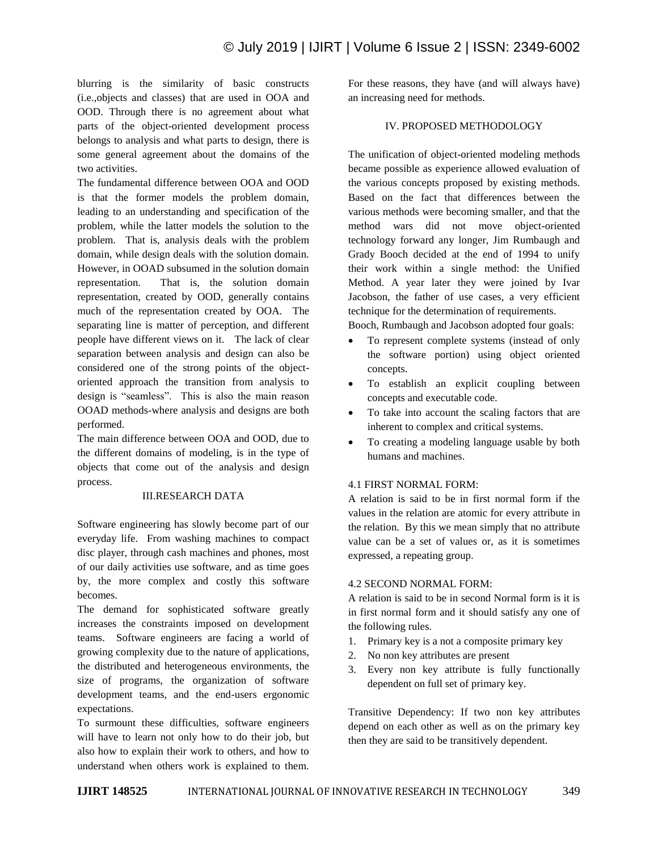blurring is the similarity of basic constructs (i.e.,objects and classes) that are used in OOA and OOD. Through there is no agreement about what parts of the object-oriented development process belongs to analysis and what parts to design, there is some general agreement about the domains of the two activities.

The fundamental difference between OOA and OOD is that the former models the problem domain, leading to an understanding and specification of the problem, while the latter models the solution to the problem. That is, analysis deals with the problem domain, while design deals with the solution domain. However, in OOAD subsumed in the solution domain representation. That is, the solution domain representation, created by OOD, generally contains much of the representation created by OOA. The separating line is matter of perception, and different people have different views on it. The lack of clear separation between analysis and design can also be considered one of the strong points of the objectoriented approach the transition from analysis to design is "seamless". This is also the main reason OOAD methods-where analysis and designs are both performed.

The main difference between OOA and OOD, due to the different domains of modeling, is in the type of objects that come out of the analysis and design process.

# III.RESEARCH DATA

Software engineering has slowly become part of our everyday life. From washing machines to compact disc player, through cash machines and phones, most of our daily activities use software, and as time goes by, the more complex and costly this software becomes.

The demand for sophisticated software greatly increases the constraints imposed on development teams. Software engineers are facing a world of growing complexity due to the nature of applications, the distributed and heterogeneous environments, the size of programs, the organization of software development teams, and the end-users ergonomic expectations.

To surmount these difficulties, software engineers will have to learn not only how to do their job, but also how to explain their work to others, and how to understand when others work is explained to them. For these reasons, they have (and will always have) an increasing need for methods.

# IV. PROPOSED METHODOLOGY

The unification of object-oriented modeling methods became possible as experience allowed evaluation of the various concepts proposed by existing methods. Based on the fact that differences between the various methods were becoming smaller, and that the method wars did not move object-oriented technology forward any longer, Jim Rumbaugh and Grady Booch decided at the end of 1994 to unify their work within a single method: the Unified Method. A year later they were joined by Ivar Jacobson, the father of use cases, a very efficient technique for the determination of requirements.

Booch, Rumbaugh and Jacobson adopted four goals:

- To represent complete systems (instead of only the software portion) using object oriented concepts.
- To establish an explicit coupling between concepts and executable code.
- To take into account the scaling factors that are inherent to complex and critical systems.
- To creating a modeling language usable by both humans and machines.

# 4.1 FIRST NORMAL FORM:

A relation is said to be in first normal form if the values in the relation are atomic for every attribute in the relation. By this we mean simply that no attribute value can be a set of values or, as it is sometimes expressed, a repeating group.

# 4.2 SECOND NORMAL FORM:

A relation is said to be in second Normal form is it is in first normal form and it should satisfy any one of the following rules.

- 1. Primary key is a not a composite primary key
- 2. No non key attributes are present
- 3. Every non key attribute is fully functionally dependent on full set of primary key.

Transitive Dependency: If two non key attributes depend on each other as well as on the primary key then they are said to be transitively dependent.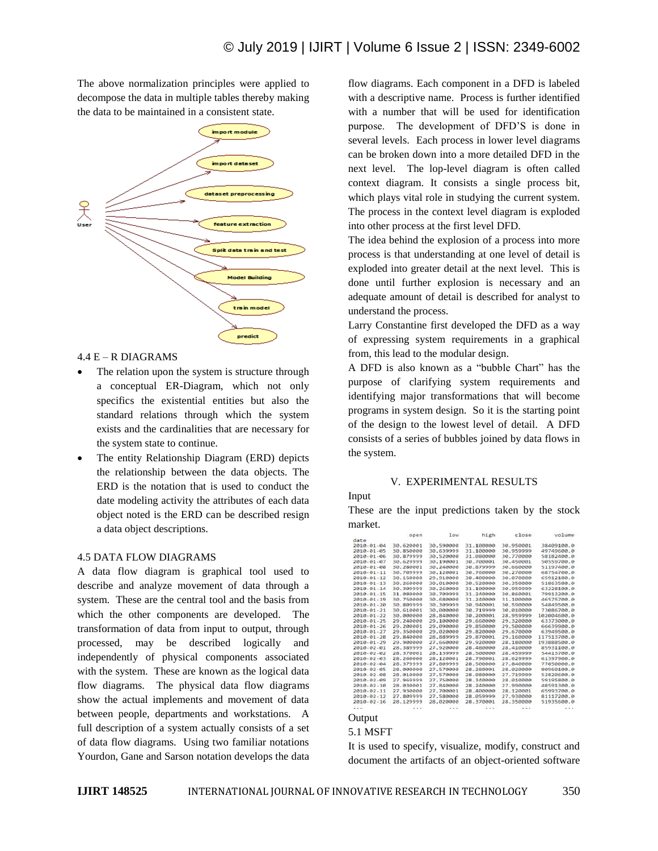The above normalization principles were applied to decompose the data in multiple tables thereby making the data to be maintained in a consistent state.



4.4 E – R DIAGRAMS

- The relation upon the system is structure through a conceptual ER-Diagram, which not only specifics the existential entities but also the standard relations through which the system exists and the cardinalities that are necessary for the system state to continue.
- The entity Relationship Diagram (ERD) depicts the relationship between the data objects. The ERD is the notation that is used to conduct the date modeling activity the attributes of each data object noted is the ERD can be described resign a data object descriptions.

# 4.5 DATA FLOW DIAGRAMS

A data flow diagram is graphical tool used to describe and analyze movement of data through a system. These are the central tool and the basis from which the other components are developed. The transformation of data from input to output, through processed, may be described logically and independently of physical components associated with the system. These are known as the logical data flow diagrams. The physical data flow diagrams show the actual implements and movement of data between people, departments and workstations. A full description of a system actually consists of a set of data flow diagrams. Using two familiar notations Yourdon, Gane and Sarson notation develops the data flow diagrams. Each component in a DFD is labeled with a descriptive name. Process is further identified with a number that will be used for identification purpose. The development of DFD'S is done in several levels. Each process in lower level diagrams can be broken down into a more detailed DFD in the next level. The lop-level diagram is often called context diagram. It consists a single process bit, which plays vital role in studying the current system. The process in the context level diagram is exploded into other process at the first level DFD.

The idea behind the explosion of a process into more process is that understanding at one level of detail is exploded into greater detail at the next level. This is done until further explosion is necessary and an adequate amount of detail is described for analyst to understand the process.

Larry Constantine first developed the DFD as a way of expressing system requirements in a graphical from, this lead to the modular design.

A DFD is also known as a "bubble Chart" has the purpose of clarifying system requirements and identifying major transformations that will become programs in system design. So it is the starting point of the design to the lowest level of detail. A DFD consists of a series of bubbles joined by data flows in the system.

#### V. EXPERIMENTAL RESULTS



These are the input predictions taken by the stock market.

|                  | open      | low       | high      | close     | volume      |
|------------------|-----------|-----------|-----------|-----------|-------------|
| date             |           |           |           |           |             |
| 2010-01-04       | 30.620001 | 30.590000 | 31.100000 | 30.950001 | 38409100.0  |
| 2010-01-05       | 30.850000 | 30.639999 | 31,100000 | 30.959999 | 49749600.0  |
| 2010-01-06       | 30.879999 | 30.520000 | 31,080000 | 30.770000 | 58182400.0  |
| $2010 - 01 - 07$ | 30.629999 | 30.190001 | 30.700001 | 30.450001 | 50559700.0  |
| 2010-01-08       | 30.280001 | 30.240000 | 30.879999 | 30,660000 | 51197400.0  |
| 2010-01-11       | 30.709999 | 30.120001 | 30.760000 | 30.270000 | 68754700.0  |
| $2010 - 01 - 12$ | 30.150000 | 29.910000 | 30.400000 | 30.070000 | 65912100.0  |
| 2010-01-13       | 30.260000 | 30.010000 | 30.520000 | 30.350000 | 51863500.0  |
| $2010 - 01 - 14$ | 30.309999 | 30.260000 | 31.100000 | 30.959999 | 63228100.0  |
| $2010 - 01 - 15$ | 31.080000 | 30.709999 | 31.240000 | 30.860001 | 79913200.0  |
| 2010-01-19       | 30,750000 | 30,680000 | 31.240000 | 31.100000 | 46575700.0  |
| $2010 - 01 - 20$ | 30.809999 | 30.309999 | 30.940001 | 30.590000 | 54849500.0  |
| $2010 - 01 - 21$ | 30.610001 | 30,000000 | 30.719999 | 30.010000 | 73886788.8  |
| $2010 - 01 - 22$ | 30,000000 | 28,840000 | 30.200001 | 28.959999 | 102004600.0 |
| 2010-01-25       | 29.240000 | 29.100000 | 29.660000 | 29.320000 | 63373000.0  |
| 2010-01-26       | 29.200001 | 29.090000 | 29.850000 | 29.500000 | 66639900.0  |
| $2010 - 01 - 27$ | 29.350000 | 29.020000 | 29.820000 | 29.678000 | 63949500.0  |
| 2010-01-28       | 29.840000 | 28.889999 | 29.870001 | 29.160000 | 117513700.0 |
| $2010 - 01 - 29$ | 29.900000 | 27.660000 | 29.920000 | 28.180000 | 193888500.0 |
| 2010-02-01       | 28.389999 | 27.920000 | 28.480000 | 28.410000 | 85931100.0  |
| 2010-02-02       | 28.370001 | 28.139999 | 28,500000 | 28.459999 | 54413700.0  |
| 2010-02-03       | 28.260000 | 28.120001 | 28.790001 | 28.629999 | 61397900.0  |
| $2010 - 02 - 04$ | 28.379999 | 27.809999 | 28.500000 | 27.840000 | 77859999.9  |
| 2010-02-05       | 28,000000 | 27.570000 | 28.280001 | 28.020000 | 80960100.0  |
| 2010-02-08       | 28,010000 | 27.579000 | 28.080000 | 27.719999 | 52820600.0  |
| 2010-02-09       | 27.969999 | 27.750000 | 28.340000 | 28.010000 | 59195800.0  |
| 2010-02-10       | 28.030001 | 27.840000 | 28.240000 | 27.990000 | 48591300.0  |
| 2010-02-11       | 27.930000 | 27.700001 | 28,400000 | 28.120001 | 65993700.0  |
| 2010-02-12       | 27.809999 | 27.580000 | 28.059999 | 27.930000 | 81117200.0  |
| $2010 - 02 - 16$ | 28,129999 | 28,020000 | 28,370001 | 28.350000 | 51935600.0  |
| $-1.1$           |           |           | $+ + +$   | $\cdots$  |             |

# **Output**

### 5.1 MSFT

It is used to specify, visualize, modify, construct and document the artifacts of an object-oriented software